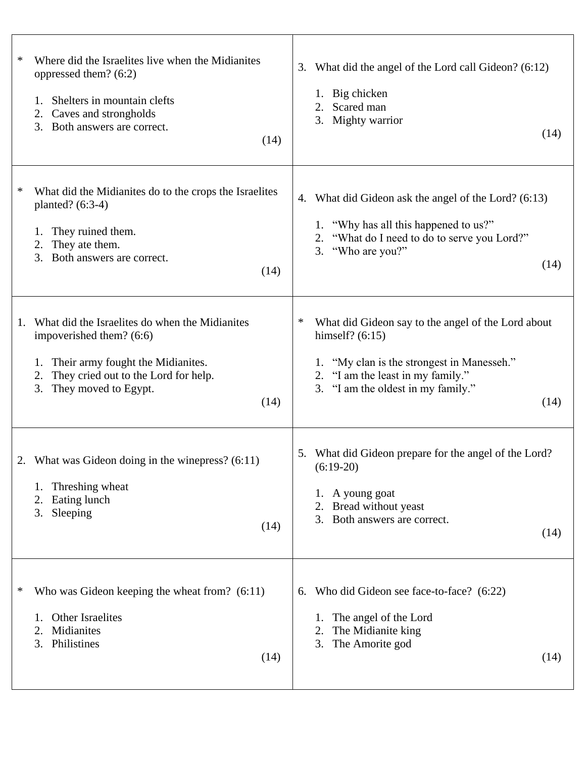| ∗              | Where did the Israelites live when the Midianites<br>oppressed them? (6:2)<br>Shelters in mountain clefts<br>1.<br>Caves and strongholds<br>2.<br>3. Both answers are correct.<br>(14)        | 3. | What did the angel of the Lord call Gideon? (6:12)<br>Big chicken<br>1.<br>Scared man<br>Mighty warrior<br>3.                                                                                    | (14) |
|----------------|-----------------------------------------------------------------------------------------------------------------------------------------------------------------------------------------------|----|--------------------------------------------------------------------------------------------------------------------------------------------------------------------------------------------------|------|
| ∗<br>2.        | What did the Midianites do to the crops the Israelites<br>planted? $(6:3-4)$<br>They ruined them.<br>1.<br>They ate them.<br>Both answers are correct.<br>3.<br>(14)                          | 4. | What did Gideon ask the angel of the Lord? (6:13)<br>1. "Why has all this happened to us?"<br>"What do I need to do to serve you Lord?"<br>3. "Who are you?"                                     | (14) |
| 1.<br>1.<br>2. | What did the Israelites do when the Midianites<br>impoverished them? (6:6)<br>Their army fought the Midianites.<br>They cried out to the Lord for help.<br>3.<br>They moved to Egypt.<br>(14) | ∗  | What did Gideon say to the angel of the Lord about<br>himself? $(6:15)$<br>1. "My clan is the strongest in Manesseh."<br>2. "I am the least in my family."<br>3. "I am the oldest in my family." | (14) |
| 2<br>2.        | What was Gideon doing in the winepress? (6:11)<br>Threshing wheat<br>1.<br>Eating lunch<br>Sleeping<br>3.<br>(14)                                                                             |    | 5. What did Gideon prepare for the angel of the Lord?<br>$(6:19-20)$<br>1. A young goat<br>Bread without yeast<br>Both answers are correct.<br>3.                                                | (14) |
| ∗<br>2.        | Who was Gideon keeping the wheat from? $(6:11)$<br>Other Israelites<br>1.<br>Midianites<br>Philistines<br>3.<br>(14)                                                                          | 6. | Who did Gideon see face-to-face? (6:22)<br>The angel of the Lord<br>1.<br>The Midianite king<br>The Amorite god<br>3.                                                                            | (14) |

 $\overline{1}$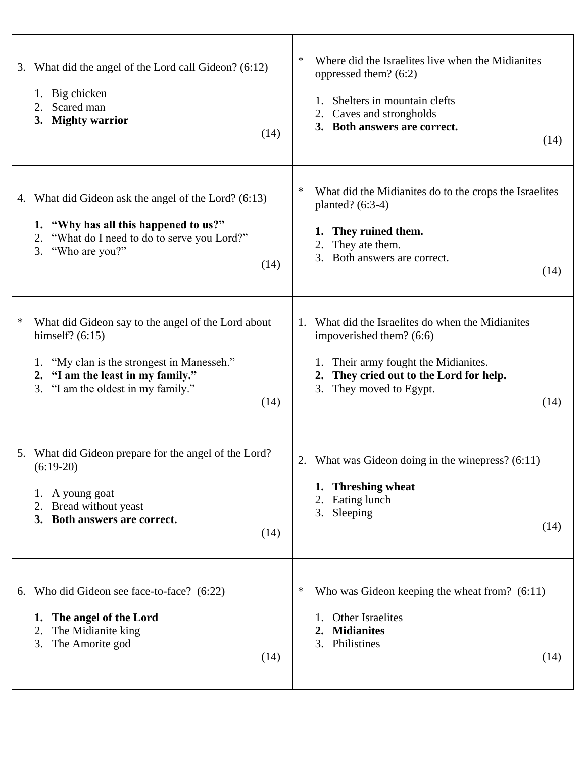| 3. | What did the angel of the Lord call Gideon? (6:12)<br>1. Big chicken<br>Scared man<br>2.<br><b>Mighty warrior</b><br>3.<br>(14)                                                                                | ∗<br>Where did the Israelites live when the Midianites<br>oppressed them? (6:2)<br>Shelters in mountain clefts<br>Caves and strongholds<br>2.<br>3. Both answers are correct.<br>(14)                     |
|----|----------------------------------------------------------------------------------------------------------------------------------------------------------------------------------------------------------------|-----------------------------------------------------------------------------------------------------------------------------------------------------------------------------------------------------------|
|    | 4. What did Gideon ask the angel of the Lord? (6:13)<br>1. "Why has all this happened to us?"<br>"What do I need to do to serve you Lord?"<br>2.<br>"Who are you?"<br>3.<br>(14)                               | ∗<br>What did the Midianites do to the crops the Israelites<br>planted? $(6:3-4)$<br>They ruined them.<br>They ate them.<br>2.<br>Both answers are correct.<br>3.<br>(14)                                 |
| ∗  | What did Gideon say to the angel of the Lord about<br>himself? $(6:15)$<br>"My clan is the strongest in Manesseh."<br>1.<br>2. "I am the least in my family."<br>"I am the oldest in my family."<br>3.<br>(14) | What did the Israelites do when the Midianites<br>1.<br>impoverished them? (6:6)<br>Their army fought the Midianites.<br>They cried out to the Lord for help.<br>2.<br>3.<br>They moved to Egypt.<br>(14) |
|    | 5. What did Gideon prepare for the angel of the Lord?<br>$(6:19-20)$<br>1. A young goat<br>2. Bread without yeast<br>3. Both answers are correct.<br>(14)                                                      | What was Gideon doing in the winepress? $(6:11)$<br>2.<br><b>Threshing wheat</b><br>1.<br>Eating lunch<br>2.<br>Sleeping<br>3.<br>(14)                                                                    |
| 6. | Who did Gideon see face-to-face? (6:22)<br>The angel of the Lord<br>1.<br>The Midianite king<br>2.<br>The Amorite god<br>3.<br>(14)                                                                            | Who was Gideon keeping the wheat from? $(6:11)$<br>$\ast$<br>Other Israelites<br><b>Midianites</b><br>$\mathbf{2}$ .<br>Philistines<br>3.<br>(14)                                                         |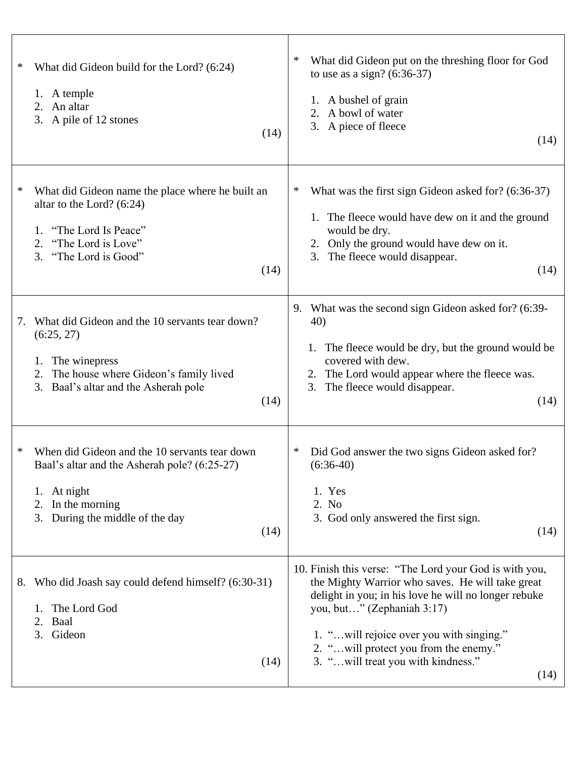| ∗<br>What did Gideon build for the Lord? (6:24)<br>1. A temple<br>2. An altar<br>3. A pile of 12 stones<br>(14)                                                                             | ∗<br>What did Gideon put on the threshing floor for God<br>to use as a sign? $(6:36-37)$<br>1. A bushel of grain<br>2. A bowl of water<br>3. A piece of fleece<br>(14)                                                                                                                                                                 |
|---------------------------------------------------------------------------------------------------------------------------------------------------------------------------------------------|----------------------------------------------------------------------------------------------------------------------------------------------------------------------------------------------------------------------------------------------------------------------------------------------------------------------------------------|
| ∗<br>What did Gideon name the place where he built an<br>altar to the Lord? $(6:24)$<br>"The Lord Is Peace"<br>1.<br>"The Lord is Love"<br>2.<br>"The Lord is Good"<br>3.<br>(14)           | $\ast$<br>What was the first sign Gideon asked for? (6:36-37)<br>1. The fleece would have dew on it and the ground<br>would be dry.<br>Only the ground would have dew on it.<br>2.<br>3. The fleece would disappear.<br>(14)                                                                                                           |
| What did Gideon and the 10 servants tear down?<br>7.<br>(6:25, 27)<br>The winepress<br>1.<br>The house where Gideon's family lived<br>2.<br>3.<br>Baal's altar and the Asherah pole<br>(14) | What was the second sign Gideon asked for? (6:39-<br>9.<br>40)<br>The fleece would be dry, but the ground would be<br>1.<br>covered with dew.<br>2. The Lord would appear where the fleece was.<br>The fleece would disappear.<br>3.<br>(14)                                                                                           |
| When did Gideon and the 10 servants tear down<br>*<br>Baal's altar and the Asherah pole? (6:25-27)<br>At night<br>1.<br>In the morning<br>2.<br>During the middle of the day<br>3.<br>(14)  | ∗<br>Did God answer the two signs Gideon asked for?<br>$(6:36-40)$<br>1. Yes<br>2. No<br>3. God only answered the first sign.<br>(14)                                                                                                                                                                                                  |
| Who did Joash say could defend himself? (6:30-31)<br>8.<br>The Lord God<br>1.<br>Baal<br>2.<br>3.<br>Gideon<br>(14)                                                                         | 10. Finish this verse: "The Lord your God is with you,<br>the Mighty Warrior who saves. He will take great<br>delight in you; in his love he will no longer rebuke<br>you, but" (Zephaniah 3:17)<br>1. " will rejoice over you with singing."<br>2. " will protect you from the enemy."<br>3. " will treat you with kindness."<br>(14) |

T